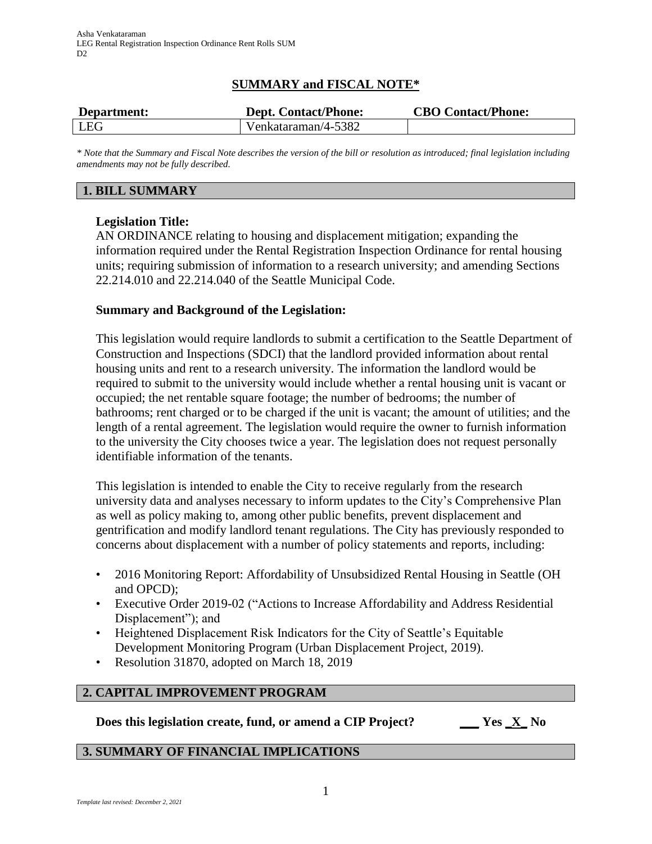# **SUMMARY and FISCAL NOTE\***

| Department: | <b>Dept. Contact/Phone:</b> | <b>CBO Contact/Phone:</b> |
|-------------|-----------------------------|---------------------------|
| LEG         | Venkataraman/4-5382         |                           |

*\* Note that the Summary and Fiscal Note describes the version of the bill or resolution as introduced; final legislation including amendments may not be fully described.*

# **1. BILL SUMMARY**

# **Legislation Title:**

AN ORDINANCE relating to housing and displacement mitigation; expanding the information required under the Rental Registration Inspection Ordinance for rental housing units; requiring submission of information to a research university; and amending Sections 22.214.010 and 22.214.040 of the Seattle Municipal Code.

## **Summary and Background of the Legislation:**

This legislation would require landlords to submit a certification to the Seattle Department of Construction and Inspections (SDCI) that the landlord provided information about rental housing units and rent to a research university. The information the landlord would be required to submit to the university would include whether a rental housing unit is vacant or occupied; the net rentable square footage; the number of bedrooms; the number of bathrooms; rent charged or to be charged if the unit is vacant; the amount of utilities; and the length of a rental agreement. The legislation would require the owner to furnish information to the university the City chooses twice a year. The legislation does not request personally identifiable information of the tenants.

This legislation is intended to enable the City to receive regularly from the research university data and analyses necessary to inform updates to the City's Comprehensive Plan as well as policy making to, among other public benefits, prevent displacement and gentrification and modify landlord tenant regulations. The City has previously responded to concerns about displacement with a number of policy statements and reports, including:

- 2016 Monitoring Report: Affordability of Unsubsidized Rental Housing in Seattle (OH and OPCD);
- Executive Order 2019-02 ("Actions to Increase Affordability and Address Residential Displacement"); and
- Heightened Displacement Risk Indicators for the City of Seattle's Equitable Development Monitoring Program (Urban Displacement Project, 2019).
- Resolution 31870, adopted on March 18, 2019

# **2. CAPITAL IMPROVEMENT PROGRAM**

**Does this legislation create, fund, or amend a CIP Project? \_\_\_ Yes \_X\_ No**

#### **3. SUMMARY OF FINANCIAL IMPLICATIONS**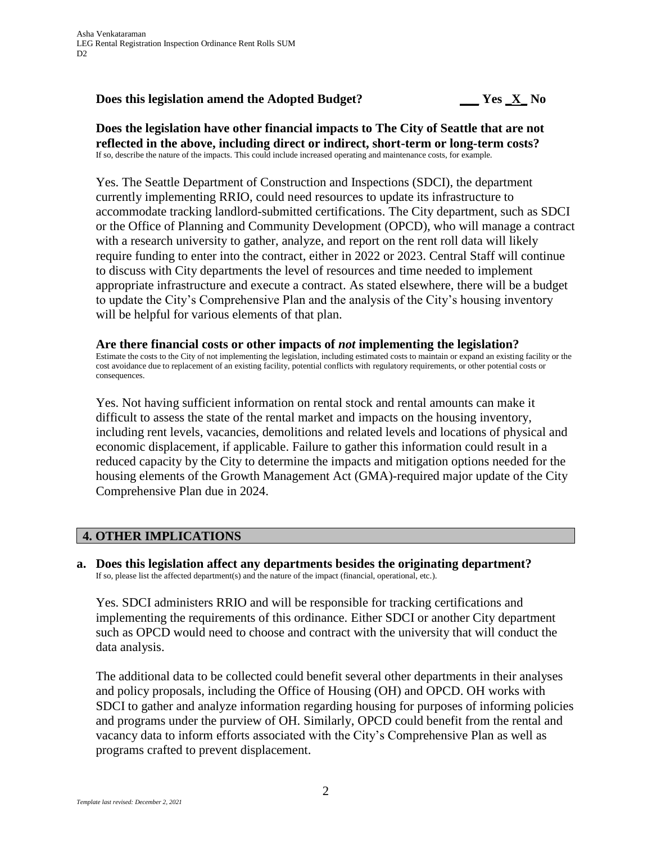#### **Does this legislation amend the Adopted Budget? \_\_\_ Yes \_X\_ No**

**Does the legislation have other financial impacts to The City of Seattle that are not reflected in the above, including direct or indirect, short-term or long-term costs?** If so, describe the nature of the impacts. This could include increased operating and maintenance costs, for example.

Yes. The Seattle Department of Construction and Inspections (SDCI), the department currently implementing RRIO, could need resources to update its infrastructure to accommodate tracking landlord-submitted certifications. The City department, such as SDCI or the Office of Planning and Community Development (OPCD), who will manage a contract with a research university to gather, analyze, and report on the rent roll data will likely require funding to enter into the contract, either in 2022 or 2023. Central Staff will continue to discuss with City departments the level of resources and time needed to implement appropriate infrastructure and execute a contract. As stated elsewhere, there will be a budget to update the City's Comprehensive Plan and the analysis of the City's housing inventory will be helpful for various elements of that plan.

# **Are there financial costs or other impacts of** *not* **implementing the legislation?**

Estimate the costs to the City of not implementing the legislation, including estimated costs to maintain or expand an existing facility or the cost avoidance due to replacement of an existing facility, potential conflicts with regulatory requirements, or other potential costs or consequences.

Yes. Not having sufficient information on rental stock and rental amounts can make it difficult to assess the state of the rental market and impacts on the housing inventory, including rent levels, vacancies, demolitions and related levels and locations of physical and economic displacement, if applicable. Failure to gather this information could result in a reduced capacity by the City to determine the impacts and mitigation options needed for the housing elements of the Growth Management Act (GMA)-required major update of the City Comprehensive Plan due in 2024.

# **4. OTHER IMPLICATIONS**

**a. Does this legislation affect any departments besides the originating department?** If so, please list the affected department(s) and the nature of the impact (financial, operational, etc.).

Yes. SDCI administers RRIO and will be responsible for tracking certifications and implementing the requirements of this ordinance. Either SDCI or another City department such as OPCD would need to choose and contract with the university that will conduct the data analysis.

The additional data to be collected could benefit several other departments in their analyses and policy proposals, including the Office of Housing (OH) and OPCD. OH works with SDCI to gather and analyze information regarding housing for purposes of informing policies and programs under the purview of OH. Similarly, OPCD could benefit from the rental and vacancy data to inform efforts associated with the City's Comprehensive Plan as well as programs crafted to prevent displacement.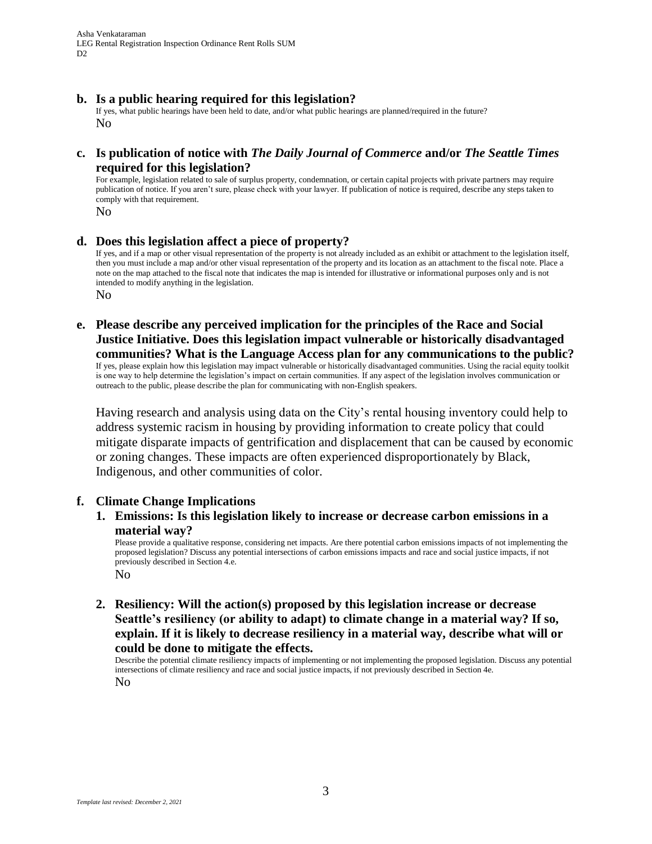Asha Venkataraman LEG Rental Registration Inspection Ordinance Rent Rolls SUM D<sub>2</sub>

#### **b. Is a public hearing required for this legislation?**

If yes, what public hearings have been held to date, and/or what public hearings are planned/required in the future? No

#### **c. Is publication of notice with** *The Daily Journal of Commerce* **and/or** *The Seattle Times* **required for this legislation?**

For example, legislation related to sale of surplus property, condemnation, or certain capital projects with private partners may require publication of notice. If you aren't sure, please check with your lawyer. If publication of notice is required, describe any steps taken to comply with that requirement.

No

#### **d. Does this legislation affect a piece of property?**

If yes, and if a map or other visual representation of the property is not already included as an exhibit or attachment to the legislation itself, then you must include a map and/or other visual representation of the property and its location as an attachment to the fiscal note. Place a note on the map attached to the fiscal note that indicates the map is intended for illustrative or informational purposes only and is not intended to modify anything in the legislation.

No

**e. Please describe any perceived implication for the principles of the Race and Social Justice Initiative. Does this legislation impact vulnerable or historically disadvantaged communities? What is the Language Access plan for any communications to the public?**

If yes, please explain how this legislation may impact vulnerable or historically disadvantaged communities. Using the racial equity toolkit is one way to help determine the legislation's impact on certain communities. If any aspect of the legislation involves communication or outreach to the public, please describe the plan for communicating with non-English speakers.

Having research and analysis using data on the City's rental housing inventory could help to address systemic racism in housing by providing information to create policy that could mitigate disparate impacts of gentrification and displacement that can be caused by economic or zoning changes. These impacts are often experienced disproportionately by Black, Indigenous, and other communities of color.

#### **f. Climate Change Implications**

**1. Emissions: Is this legislation likely to increase or decrease carbon emissions in a material way?** 

Please provide a qualitative response, considering net impacts. Are there potential carbon emissions impacts of not implementing the proposed legislation? Discuss any potential intersections of carbon emissions impacts and race and social justice impacts, if not previously described in Section 4.e. No

**2. Resiliency: Will the action(s) proposed by this legislation increase or decrease Seattle's resiliency (or ability to adapt) to climate change in a material way? If so, explain. If it is likely to decrease resiliency in a material way, describe what will or could be done to mitigate the effects.**

Describe the potential climate resiliency impacts of implementing or not implementing the proposed legislation. Discuss any potential intersections of climate resiliency and race and social justice impacts, if not previously described in Section 4e. No